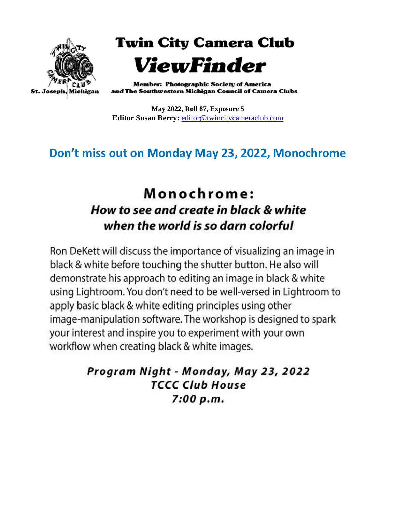

**Twin City Camera Club** ViewFinder

**Member: Photographic Society of America** and The Southwestern Michigan Council of Camera Clubs

**May 2022, Roll 87, Exposure 5 Editor Susan Berry:** [editor@twincitycameraclub.com](mailto:editor@twincitycameraclub.com)

# **Don't miss out on Monday May 23, 2022, Monochrome**

# Monochrome: How to see and create in black & white when the world is so darn colorful

Ron DeKett will discuss the importance of visualizing an image in black & white before touching the shutter button. He also will demonstrate his approach to editing an image in black & white using Lightroom. You don't need to be well-versed in Lightroom to apply basic black & white editing principles using other image-manipulation software. The workshop is designed to spark your interest and inspire you to experiment with your own workflow when creating black & white images.

> Program Night - Monday, May 23, 2022 **TCCC Club House**  $7:00 p.m.$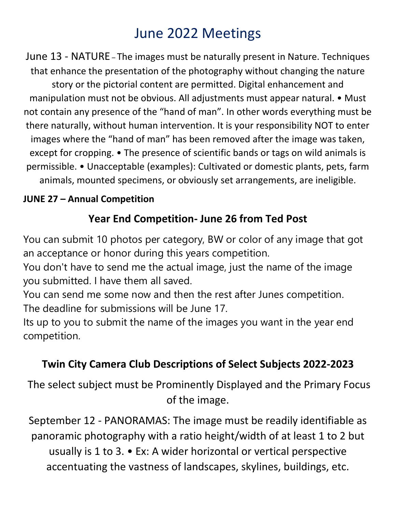# June 2022 Meetings

June 13 - NATURE – The images must be naturally present in Nature. Techniques that enhance the presentation of the photography without changing the nature story or the pictorial content are permitted. Digital enhancement and manipulation must not be obvious. All adjustments must appear natural. • Must not contain any presence of the "hand of man". In other words everything must be there naturally, without human intervention. It is your responsibility NOT to enter images where the "hand of man" has been removed after the image was taken, except for cropping. • The presence of scientific bands or tags on wild animals is permissible. • Unacceptable (examples): Cultivated or domestic plants, pets, farm animals, mounted specimens, or obviously set arrangements, are ineligible.

#### **JUNE 27 – Annual Competition**

# **Year End Competition- June 26 from Ted Post**

You can submit 10 photos per category, BW or color of any image that got an acceptance or honor during this years competition.

You don't have to send me the actual image, just the name of the image you submitted. I have them all saved.

You can send me some now and then the rest after Junes competition. The deadline for submissions will be June 17.

Its up to you to submit the name of the images you want in the year end competition.

## **Twin City Camera Club Descriptions of Select Subjects 2022-2023**

The select subject must be Prominently Displayed and the Primary Focus of the image.

September 12 - PANORAMAS: The image must be readily identifiable as panoramic photography with a ratio height/width of at least 1 to 2 but usually is 1 to 3. • Ex: A wider horizontal or vertical perspective accentuating the vastness of landscapes, skylines, buildings, etc.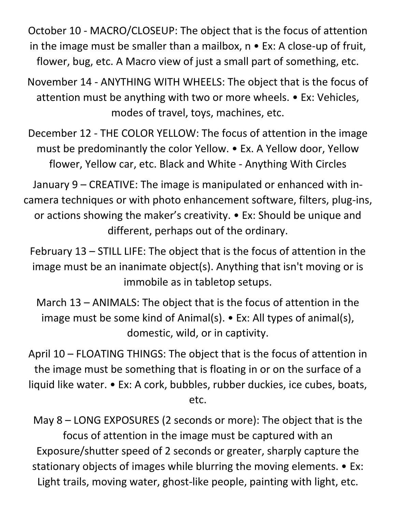October 10 - MACRO/CLOSEUP: The object that is the focus of attention in the image must be smaller than a mailbox,  $n \cdot Ex$ : A close-up of fruit, flower, bug, etc. A Macro view of just a small part of something, etc.

November 14 - ANYTHING WITH WHEELS: The object that is the focus of attention must be anything with two or more wheels. • Ex: Vehicles, modes of travel, toys, machines, etc.

December 12 - THE COLOR YELLOW: The focus of attention in the image must be predominantly the color Yellow. • Ex. A Yellow door, Yellow flower, Yellow car, etc. Black and White - Anything With Circles

January 9 – CREATIVE: The image is manipulated or enhanced with incamera techniques or with photo enhancement software, filters, plug-ins, or actions showing the maker's creativity. • Ex: Should be unique and different, perhaps out of the ordinary.

February 13 – STILL LIFE: The object that is the focus of attention in the image must be an inanimate object(s). Anything that isn't moving or is immobile as in tabletop setups.

March 13 – ANIMALS: The object that is the focus of attention in the image must be some kind of Animal(s). • Ex: All types of animal(s), domestic, wild, or in captivity.

April 10 – FLOATING THINGS: The object that is the focus of attention in the image must be something that is floating in or on the surface of a liquid like water. • Ex: A cork, bubbles, rubber duckies, ice cubes, boats, etc.

May 8 – LONG EXPOSURES (2 seconds or more): The object that is the focus of attention in the image must be captured with an Exposure/shutter speed of 2 seconds or greater, sharply capture the stationary objects of images while blurring the moving elements. • Ex: Light trails, moving water, ghost-like people, painting with light, etc.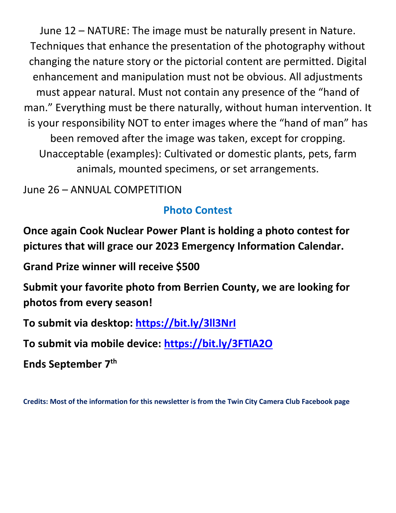June 12 – NATURE: The image must be naturally present in Nature. Techniques that enhance the presentation of the photography without changing the nature story or the pictorial content are permitted. Digital enhancement and manipulation must not be obvious. All adjustments must appear natural. Must not contain any presence of the "hand of man." Everything must be there naturally, without human intervention. It is your responsibility NOT to enter images where the "hand of man" has been removed after the image was taken, except for cropping. Unacceptable (examples): Cultivated or domestic plants, pets, farm animals, mounted specimens, or set arrangements.

June 26 – ANNUAL COMPETITION

#### **Photo Contest**

**Once again Cook Nuclear Power Plant is holding a photo contest for pictures that will grace our 2023 Emergency Information Calendar.**

**Grand Prize winner will receive \$500**

**Submit your favorite photo from Berrien County, we are looking for photos from every season!**

**To submit via desktop: [https://bit.ly/3ll3NrI](https://bit.ly/3ll3NrI?fbclid=IwAR2PgV3PSeSL8f-39a90ojhUjNu8hEySUoElKTzj1wQrJ3MDsepIw6sixow)**

**To submit via mobile device: [https://bit.ly/3FTlA2O](https://bit.ly/3FTlA2O?fbclid=IwAR0GwbRX0r3w4G--JDVrl8_FYhmnN6KwvEnOzHjsWMdDTlzM_hSRe_6FsOY)**

**Ends September 7th**

**Credits: Most of the information for this newsletter is from the Twin City Camera Club Facebook page**